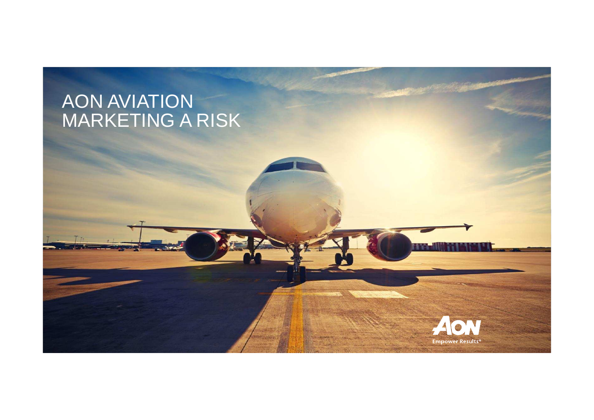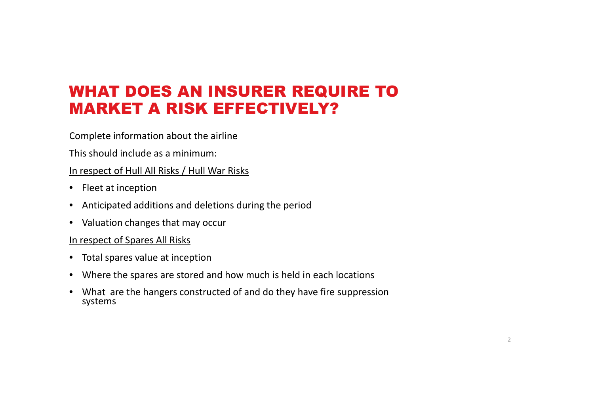# WHAT DOES AN INSURER REQUIRE TO MARKET A RISK EFFECTIVELY?

Complete information about the airline

This should include as a minimum:

#### In respect of Hull All Risks / Hull War Risks

- Fleet at inception
- Anticipated additions and deletions during the period
- Valuation changes that may occur

#### In respect of Spares All Risks

- Total spares value at inception
- Where the spares are stored and how much is held in each locations
- What are the hangers constructed of and do they have fire suppression systems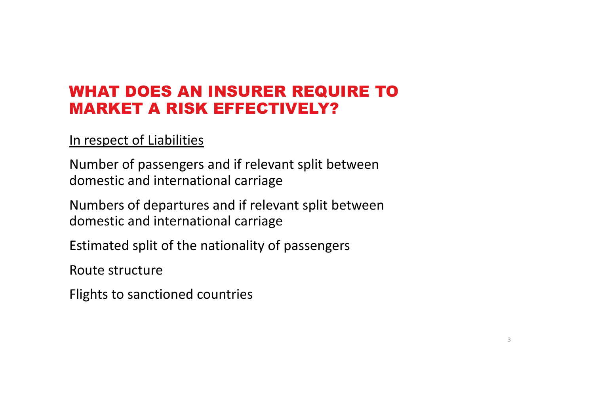# WHAT DOES AN INSURER REQUIRE TO MARKET A RISK EFFECTIVELY?

#### In respect of Liabilities

Number of passengers and if relevant split between domestic and international carriage

Numbers of departures and if relevant split betweendomestic and international carriage

Estimated split of the nationality of passengers

Route structure

Flights to sanctioned countries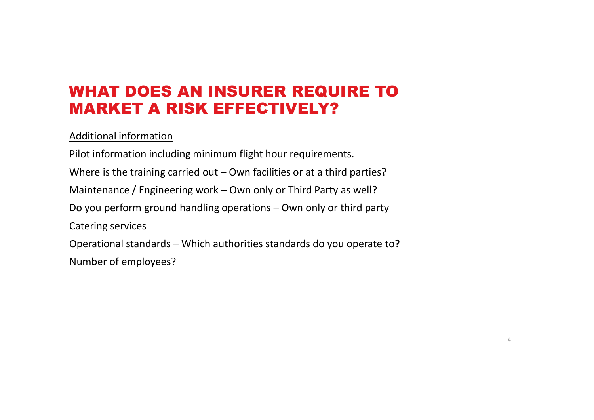# WHAT DOES AN INSURER REQUIRE TO MARKET A RISK EFFECTIVELY?

#### Additional information

Pilot information including minimum flight hour requirements.Where is the training carried out – Own facilities or at a third parties? Maintenance / Engineering work – Own only or Third Party as well? Do you perform ground handling operations – Own only or third party Catering servicesOperational standards – Which authorities standards do you operate to? Number of employees?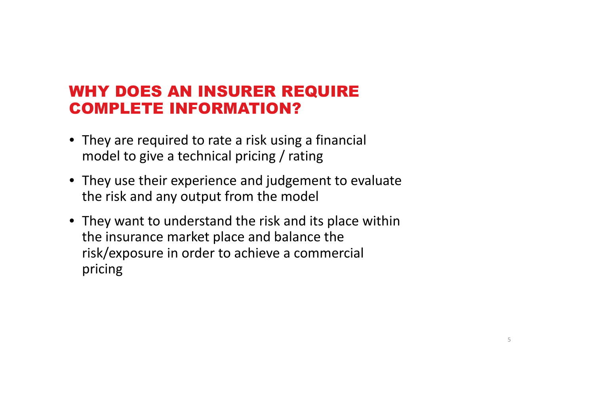## WHY DOES AN INSURER REQUIRE COMPLETE INFORMATION?

- They are required to rate a risk using a financial model to give a technical pricing / rating
- They use their experience and judgement to evaluate the risk and any output from the model
- They want to understand the risk and its place within the insurance market place and balance the risk/exposure in order to achieve a commercial pricing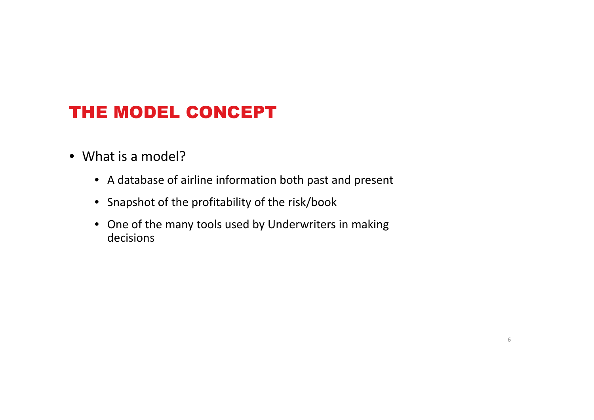# THE MODEL CONCEPT

- What is a model?
	- A database of airline information both past and present
	- Snapshot of the profitability of the risk/book
	- One of the many tools used by Underwriters in making decisions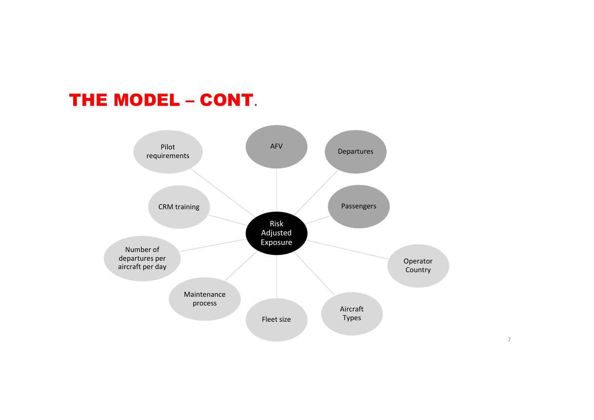# THE MODEL – CONT.

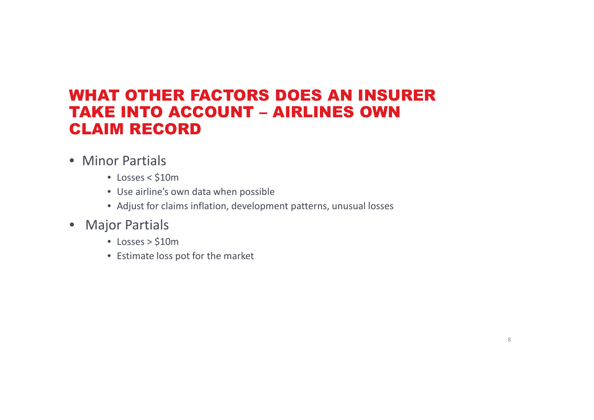### WHAT OTHER FACTORS DOES AN INSURER TAKE INTO ACCOUNT – AIRLINES OWN CLAIM RECORD

- Minor Partials
	- Losses < \$10m
	- Use airline's own data when possible
	- Adjust for claims inflation, development patterns, unusual losses
- Major Partials
	- Losses > \$10m
	- Estimate loss pot for the market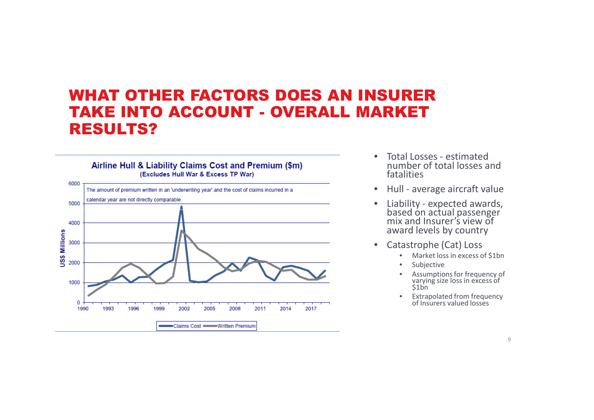### WHAT OTHER FACTORS DOES AN INSURER TAKE INTO ACCOUNT - OVERALL MARKET RESULTS?



- • Total Losses - estimated number of total losses and fatalities
- $\bullet$ Hull - average aircraft value
- • Liability - expected awards, based on actual passenger mix and Insurer's view of award levels by country
- • Catastrophe (Cat) Loss
	- •Market loss in excess of \$1bn
	- •Subjective
	- Assumptions for frequency of •varying size loss in excess of<br>\$1bn
	- Extrapolated from frequency of Insurers valued losses •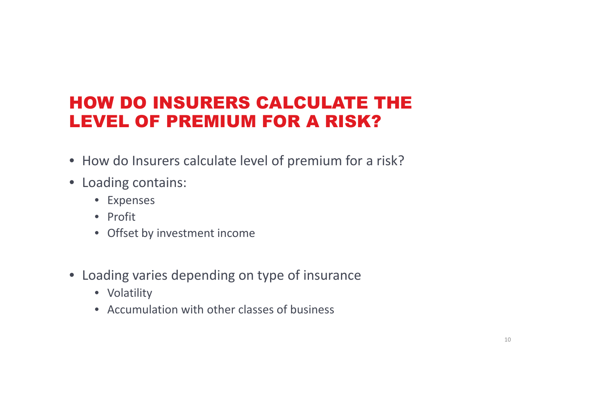# HOW DO INSURERS CALCULATE THE LEVEL OF PREMIUM FOR A RISK?

- How do Insurers calculate level of premium for a risk?
- Loading contains:
	- Expenses
	- Profit
	- Offset by investment income
- Loading varies depending on type of insurance
	- Volatility
	- Accumulation with other classes of business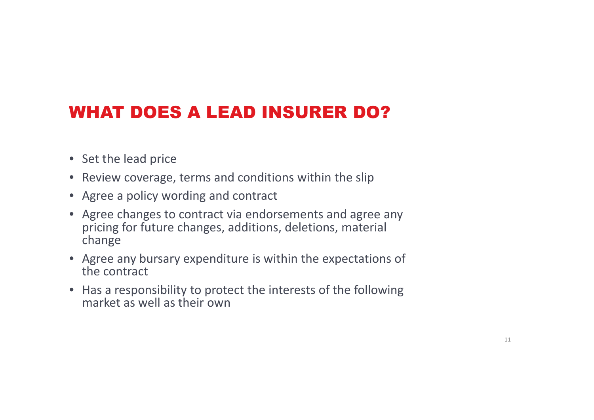# WHAT DOES A LEAD INSURER DO?

- Set the lead price
- Review coverage, terms and conditions within the slip
- Agree a policy wording and contract
- Agree changes to contract via endorsements and agree any pricing for future changes, additions, deletions, material change
- Agree any bursary expenditure is within the expectations of the contract
- Has a responsibility to protect the interests of the following market as well as their own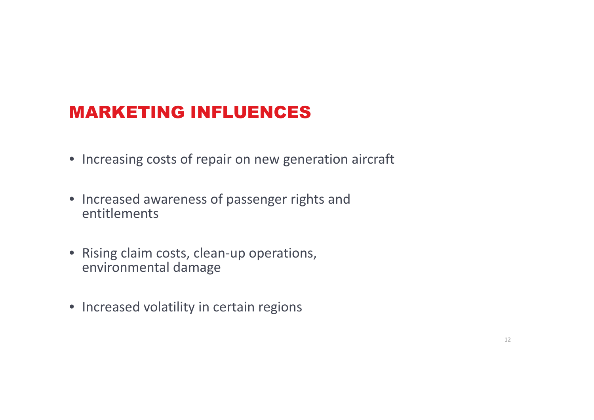# MARKETING INFLUENCES

- Increasing costs of repair on new generation aircraft
- Increased awareness of passenger rights and entitlements
- Rising claim costs, clean-up operations, environmental damage
- Increased volatility in certain regions